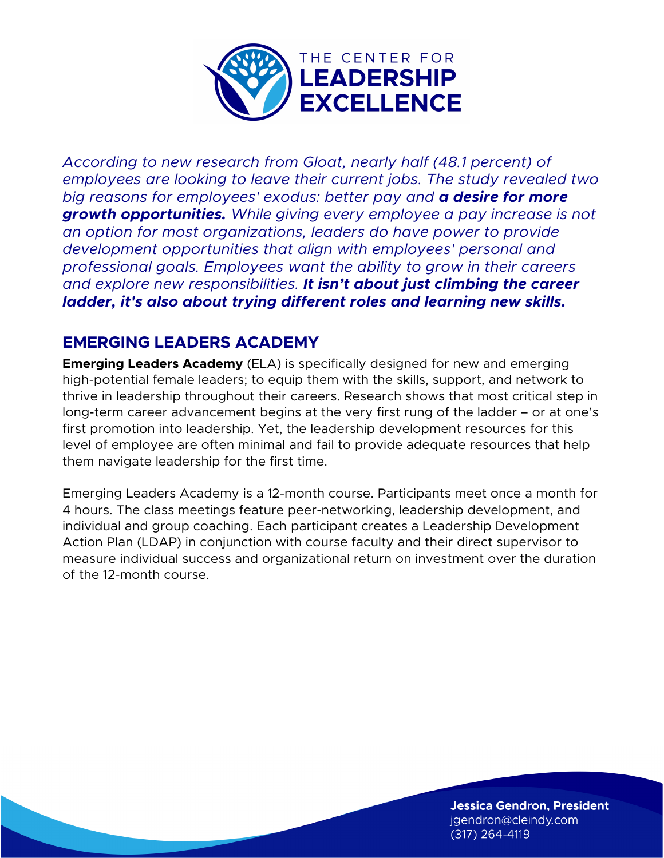

*According to new research from Gloat, nearly half (48.1 percent) of employees are looking to leave their current jobs. The study revealed two big reasons for employees' exodus: better pay and a desire for more growth opportunities. While giving every employee a pay increase is not an option for most organizations, leaders do have power to provide development opportunities that align with employees' personal and professional goals. Employees want the ability to grow in their careers and explore new responsibilities. It isn't about just climbing the career ladder, it's also about trying different roles and learning new skills.*

## **EMERGING LEADERS ACADEMY**

**Emerging Leaders Academy** (ELA) is specifically designed for new and emerging high-potential female leaders; to equip them with the skills, support, and network to thrive in leadership throughout their careers. Research shows that most critical step in long-term career advancement begins at the very first rung of the ladder – or at one's first promotion into leadership. Yet, the leadership development resources for this level of employee are often minimal and fail to provide adequate resources that help them navigate leadership for the first time.

Emerging Leaders Academy is a 12-month course. Participants meet once a month for 4 hours. The class meetings feature peer-networking, leadership development, and individual and group coaching. Each participant creates a Leadership Development Action Plan (LDAP) in conjunction with course faculty and their direct supervisor to measure individual success and organizational return on investment over the duration of the 12-month course.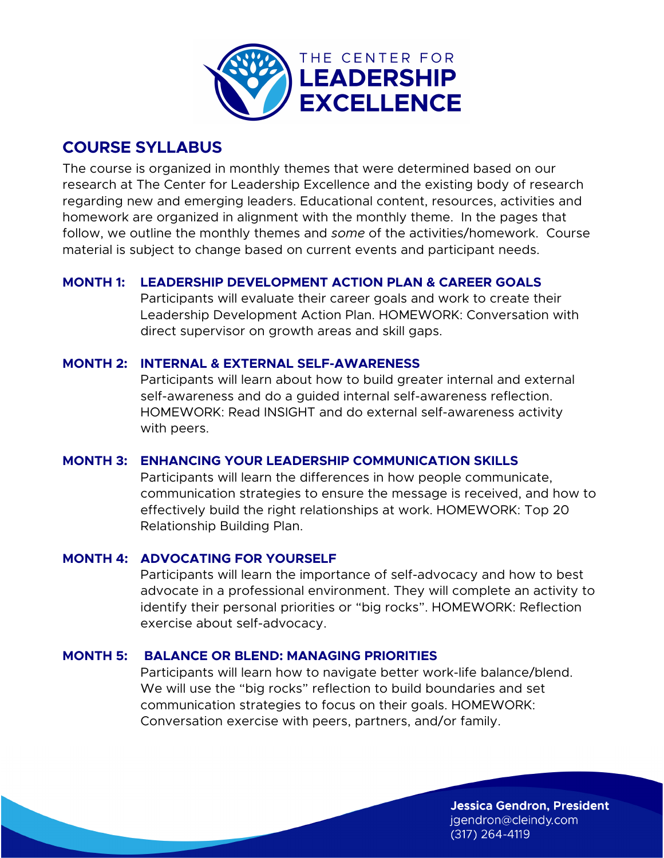

## **COURSE SYLLABUS**

The course is organized in monthly themes that were determined based on our research at The Center for Leadership Excellence and the existing body of research regarding new and emerging leaders. Educational content, resources, activities and homework are organized in alignment with the monthly theme. In the pages that follow, we outline the monthly themes and *some* of the activities/homework. Course material is subject to change based on current events and participant needs.

## **MONTH 1: LEADERSHIP DEVELOPMENT ACTION PLAN & CAREER GOALS**

Participants will evaluate their career goals and work to create their Leadership Development Action Plan. HOMEWORK: Conversation with direct supervisor on growth areas and skill gaps.

## **MONTH 2: INTERNAL & EXTERNAL SELF-AWARENESS**

Participants will learn about how to build greater internal and external self-awareness and do a guided internal self-awareness reflection. HOMEWORK: Read INSIGHT and do external self-awareness activity with peers.

## **MONTH 3: ENHANCING YOUR LEADERSHIP COMMUNICATION SKILLS**

Participants will learn the differences in how people communicate, communication strategies to ensure the message is received, and how to effectively build the right relationships at work. HOMEWORK: Top 20 Relationship Building Plan.

### **MONTH 4: ADVOCATING FOR YOURSELF**

Participants will learn the importance of self-advocacy and how to best advocate in a professional environment. They will complete an activity to identify their personal priorities or "big rocks". HOMEWORK: Reflection exercise about self-advocacy.

## **MONTH 5: BALANCE OR BLEND: MANAGING PRIORITIES**

Participants will learn how to navigate better work-life balance/blend. We will use the "big rocks" reflection to build boundaries and set communication strategies to focus on their goals. HOMEWORK: Conversation exercise with peers, partners, and/or family.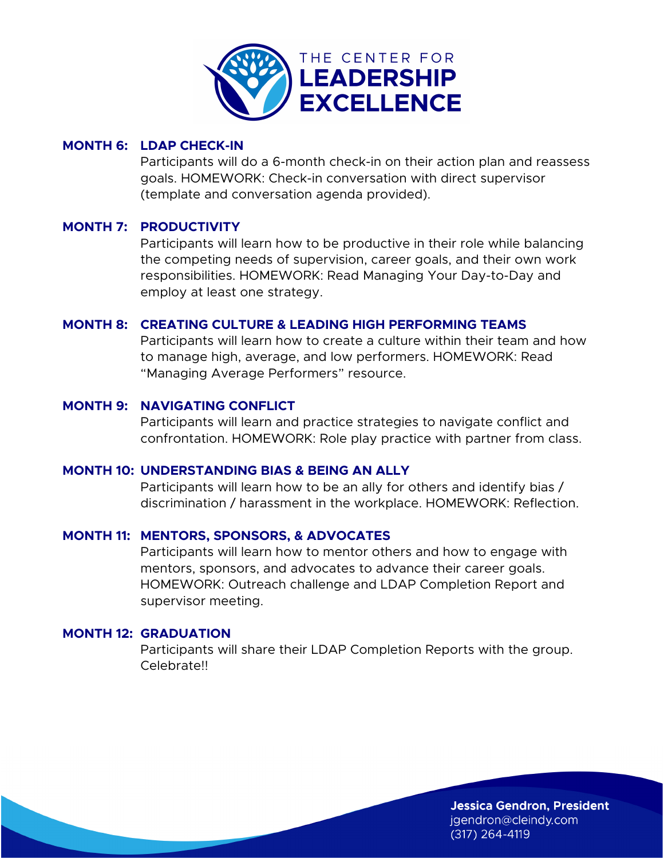

#### **MONTH 6: LDAP CHECK-IN**

Participants will do a 6-month check-in on their action plan and reassess goals. HOMEWORK: Check-in conversation with direct supervisor (template and conversation agenda provided).

#### **MONTH 7: PRODUCTIVITY**

Participants will learn how to be productive in their role while balancing the competing needs of supervision, career goals, and their own work responsibilities. HOMEWORK: Read Managing Your Day-to-Day and employ at least one strategy.

#### **MONTH 8: CREATING CULTURE & LEADING HIGH PERFORMING TEAMS**

Participants will learn how to create a culture within their team and how to manage high, average, and low performers. HOMEWORK: Read "Managing Average Performers" resource.

#### **MONTH 9: NAVIGATING CONFLICT**

Participants will learn and practice strategies to navigate conflict and confrontation. HOMEWORK: Role play practice with partner from class.

#### **MONTH 10: UNDERSTANDING BIAS & BEING AN ALLY**

Participants will learn how to be an ally for others and identify bias / discrimination / harassment in the workplace. HOMEWORK: Reflection.

### **MONTH 11: MENTORS, SPONSORS, & ADVOCATES**

Participants will learn how to mentor others and how to engage with mentors, sponsors, and advocates to advance their career goals. HOMEWORK: Outreach challenge and LDAP Completion Report and supervisor meeting.

#### **MONTH 12: GRADUATION**

Participants will share their LDAP Completion Reports with the group. Celebrate!!